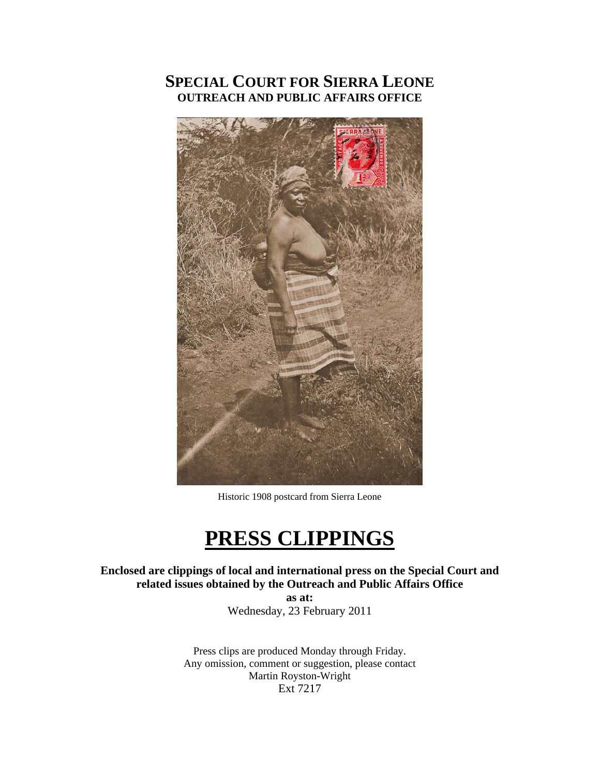## **SPECIAL COURT FOR SIERRA LEONE OUTREACH AND PUBLIC AFFAIRS OFFICE**



Historic 1908 postcard from Sierra Leone

# **PRESS CLIPPINGS**

**Enclosed are clippings of local and international press on the Special Court and related issues obtained by the Outreach and Public Affairs Office** 

> **as at:**  Wednesday, 23 February 2011

Press clips are produced Monday through Friday. Any omission, comment or suggestion, please contact Martin Royston-Wright Ext 7217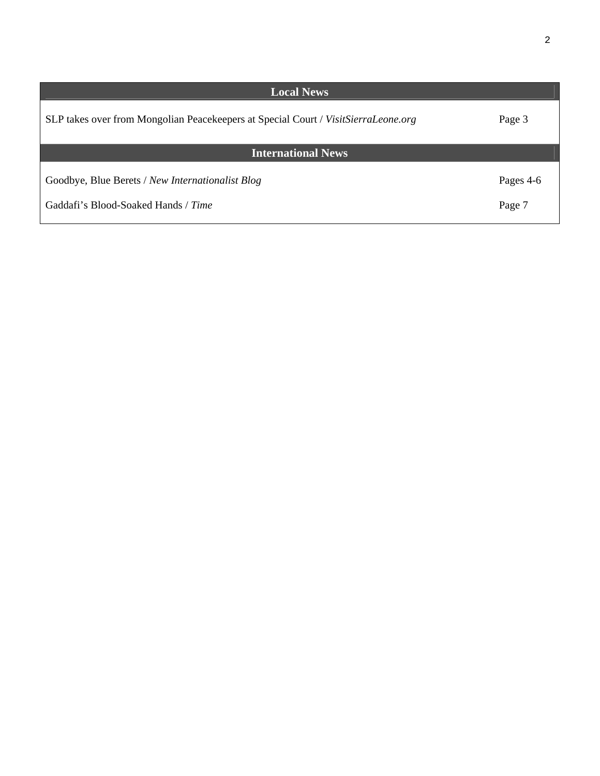| <b>Local News</b>                                                                  |           |
|------------------------------------------------------------------------------------|-----------|
| SLP takes over from Mongolian Peacekeepers at Special Court / VisitSierraLeone.org | Page 3    |
| <b>International News</b>                                                          |           |
| Goodbye, Blue Berets / New Internationalist Blog                                   | Pages 4-6 |
| Gaddafi's Blood-Soaked Hands / Time                                                | Page 7    |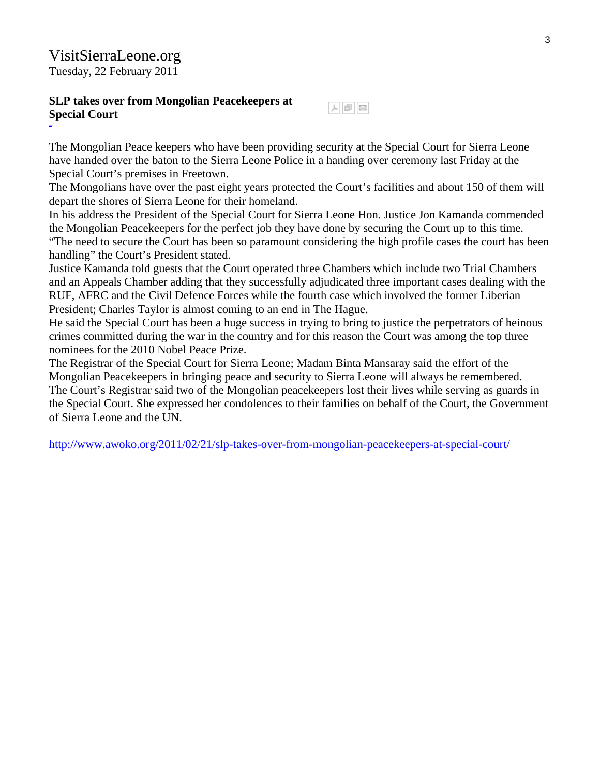### VisitSierraLeone.org Tuesday, 22 February 2011

#### **SLP takes over from Mongolian Peacekeepers at Special Court**

The Mongolian Peace keepers who have been providing security at the Special Court for Sierra Leone have handed over the baton to the Sierra Leone Police in a handing over ceremony last Friday at the Special Court's premises in Freetown.

The Mongolians have over the past eight years protected the Court's facilities and about 150 of them will depart the shores of Sierra Leone for their homeland.

人国区

In his address the President of the Special Court for Sierra Leone Hon. Justice Jon Kamanda commended the Mongolian Peacekeepers for the perfect job they have done by securing the Court up to this time. "The need to secure the Court has been so paramount considering the high profile cases the court has been handling" the Court's President stated.

Justice Kamanda told guests that the Court operated three Chambers which include two Trial Chambers and an Appeals Chamber adding that they successfully adjudicated three important cases dealing with the RUF, AFRC and the Civil Defence Forces while the fourth case which involved the former Liberian President; Charles Taylor is almost coming to an end in The Hague.

He said the Special Court has been a huge success in trying to bring to justice the perpetrators of heinous crimes committed during the war in the country and for this reason the Court was among the top three nominees for the 2010 Nobel Peace Prize.

The Registrar of the Special Court for Sierra Leone; Madam Binta Mansaray said the effort of the Mongolian Peacekeepers in bringing peace and security to Sierra Leone will always be remembered. The Court's Registrar said two of the Mongolian peacekeepers lost their lives while serving as guards in the Special Court. She expressed her condolences to their families on behalf of the Court, the Government of Sierra Leone and the UN.

<http://www.awoko.org/2011/02/21/slp-takes-over-from-mongolian-peacekeepers-at-special-court/>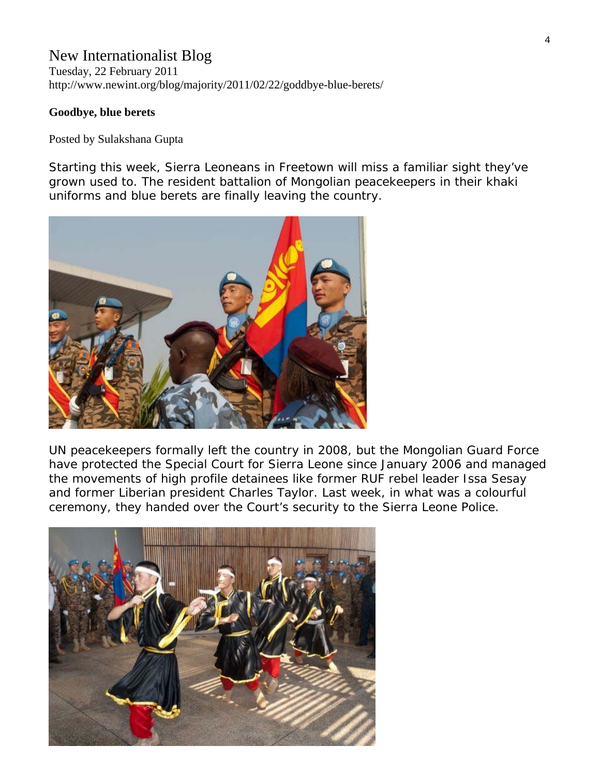## New Internationalist Blog

Tuesday, 22 February 2011 http://www.newint.org/blog/majority/2011/02/22/goddbye-blue-berets/

#### **Goodbye, blue berets**

Posted by Sulakshana Gupta

Starting this week, Sierra Leoneans in Freetown will miss a familiar sight they've grown used to. The resident battalion of Mongolian peacekeepers in their khaki uniforms and blue berets are finally leaving the country.



UN peacekeepers formally left the country in 2008, but the Mongolian Guard Force have protected the Special Court for Sierra Leone since January 2006 and managed the movements of high profile detainees like former RUF rebel leader Issa Sesay and former Liberian president Charles Taylor. Last week, in what was a colourful ceremony, they handed over the Court's security to the Sierra Leone Police.

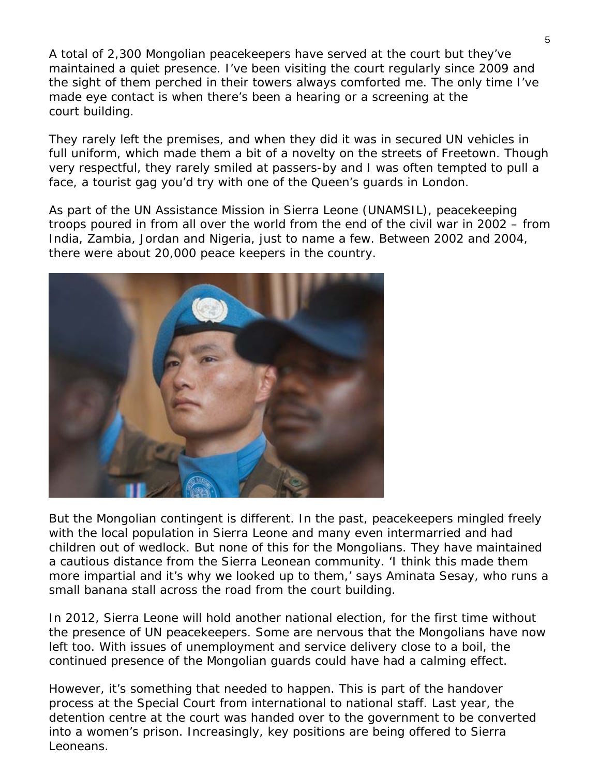A total of 2,300 Mongolian peacekeepers have served at the court but they've maintained a quiet presence. I've been visiting the court regularly since 2009 and the sight of them perched in their towers always comforted me. The only time I've made eye contact is when there's been a hearing or a screening at the court building.

They rarely left the premises, and when they did it was in secured UN vehicles in full uniform, which made them a bit of a novelty on the streets of Freetown. Though very respectful, they rarely smiled at passers-by and I was often tempted to pull a face, a tourist gag you'd try with one of the Queen's guards in London.

As part of the UN Assistance Mission in Sierra Leone (UNAMSIL), peacekeeping troops poured in from all over the world from the end of the civil war in 2002 – from India, Zambia, Jordan and Nigeria, just to name a few. Between 2002 and 2004, there were about 20,000 peace keepers in the country.



But the Mongolian contingent is different. In the past, peacekeepers mingled freely with the local population in Sierra Leone and many even intermarried and had children out of wedlock. But none of this for the Mongolians. They have maintained a cautious distance from the Sierra Leonean community. 'I think this made them more impartial and it's why we looked up to them,' says Aminata Sesay, who runs a small banana stall across the road from the court building.

In 2012, Sierra Leone will hold another national election, for the first time without the presence of UN peacekeepers. Some are nervous that the Mongolians have now left too. With issues of unemployment and service delivery close to a boil, the continued presence of the Mongolian guards could have had a calming effect.

However, it's something that needed to happen. This is part of the handover process at the Special Court from international to national staff. Last year, the detention centre at the court was handed over to the government to be converted into a women's prison. Increasingly, key positions are being offered to Sierra Leoneans.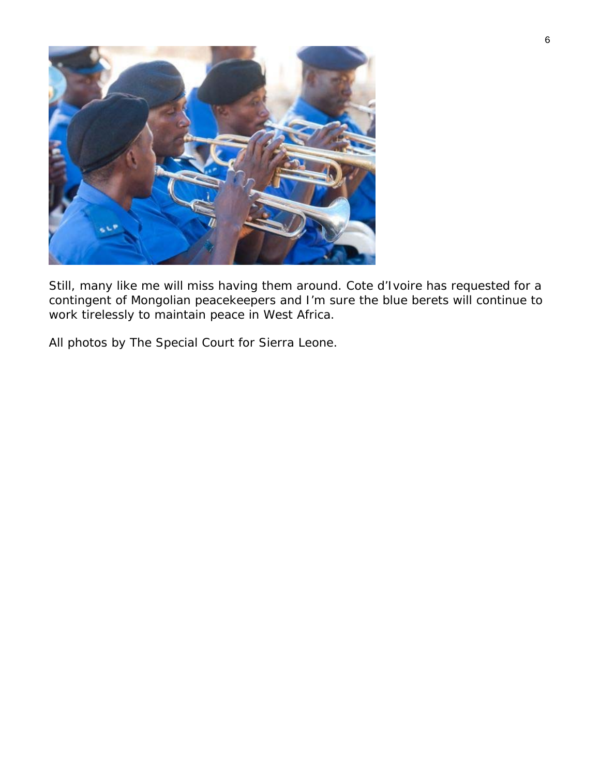

Still, many like me will miss having them around. Cote d'Ivoire has requested for a contingent of Mongolian peacekeepers and I'm sure the blue berets will continue to work tirelessly to maintain peace in West Africa.

*All photos by The Special Court for Sierra Leone.*